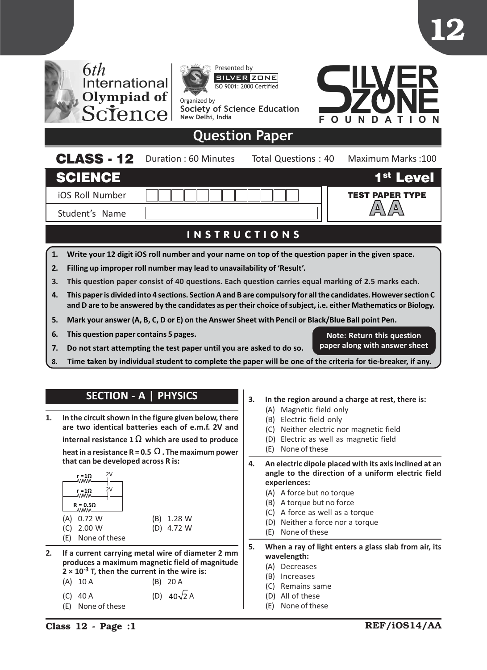

- 1. Write your 12 digit iOS roll number and your name on top of the question paper in the given space.
- 2. Filling up improper roll number may lead to unavailability of 'Result'.
- 3. This question paper consist of 40 questions. Each question carries equal marking of 2.5 marks each.
- 4. This paper is divided into 4 sections. Section A and B are compulsory for all the candidates. However section C and D are to be answered by the candidates as per their choice of subject, i.e. either Mathematics or Biology.
- 5. Mark your answer (A, B, C, D or E) on the Answer Sheet with Pencil or Black/Blue Ball point Pen.
- 6. This question paper contains 5 pages.
- 7. Do not start attempting the test paper until you are asked to do so.
- 8. Time taken by individual student to complete the paper will be one of the criteria for tie-breaker, if any.

## SECTION - A | PHYSICS

1. In the circuit shown in the figure given below, there are two identical batteries each of e.m.f. 2V and internal resistance 1  $\Omega$  which are used to produce heat in a resistance R = 0.5  $\Omega$  . The maximum power that can be developed across R is:

|     | 2V<br>r = 1Ω<br><b>\\\\\\</b> \<br>2V<br>r =1Ω<br><b>MMM</b><br>$R = 0.5\Omega$ |     |        |
|-----|---------------------------------------------------------------------------------|-----|--------|
| (A) | 0.72 W                                                                          | (B) | 1.28 W |
| (C) | 2.00 W                                                                          | (D) | 4.72 W |
| (E) | None of these                                                                   |     |        |

- 2. If a current carrying metal wire of diameter 2 mm produces a maximum magnetic field of magnitude  $2 \times 10^{-3}$  T, then the current in the wire is: (A) 10 A (B) 20 A
	- (C) 40 A (D)  $40\sqrt{2}$  A
	- (E) None of these

3. In the region around a charge at rest, there is:

Note: Return this question paper along with answer sheet

- (A) Magnetic field only
- (B) Electric field only
- (C) Neither electric nor magnetic field
- (D) Electric as well as magnetic field
- (E) None of these
- 4. An electric dipole placed with its axis inclined at an angle to the direction of a uniform electric field experiences:
	- (A) A force but no torque
	- (B) A torque but no force
	- (C) A force as well as a torque
	- (D) Neither a force nor a torque
	- (E) None of these
- 5. When a ray of light enters a glass slab from air, its wavelength:
	- (A) Decreases
	- (B) Increases
	- (C) Remains same
	- (D) All of these
	- (E) None of these

12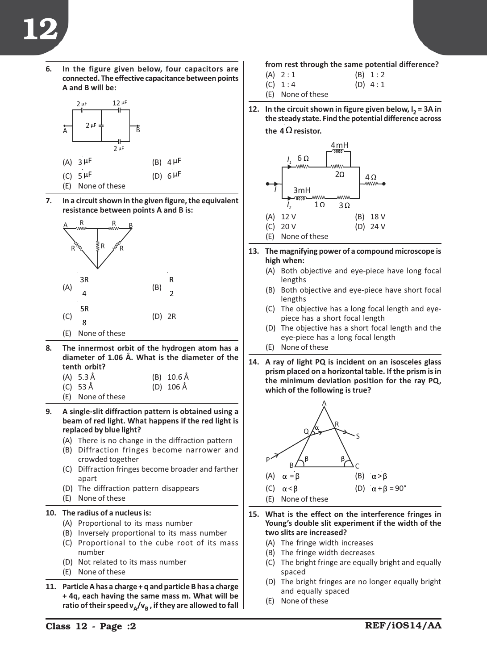6. In the figure given below, four capacitors are connected. The effective capacitance between points A and B will be:



- (E) None of these
- 7. In a circuit shown in the given figure, the equivalent resistance between points A and B is:



8. The innermost orbit of the hydrogen atom has a diameter of 1.06 Å. What is the diameter of the tenth orbit?

| (A) 5.3 Å | $(B)$ 10.6 Å        |
|-----------|---------------------|
| (C) 53 Å  | (D) $106 \text{ Å}$ |

- (E) None of these
- 9. A single-slit diffraction pattern is obtained using a beam of red light. What happens if the red light is replaced by blue light?
	- (A) There is no change in the diffraction pattern
	- (B) Diffraction fringes become narrower and crowded together
	- (C) Diffraction fringes become broader and farther apart
	- (D) The diffraction pattern disappears
	- (E) None of these

## 10. The radius of a nucleus is:

- (A) Proportional to its mass number
- (B) Inversely proportional to its mass number
- (C) Proportional to the cube root of its mass number
- (D) Not related to its mass number
- (E) None of these
- 11. Particle A has a charge + q and particle B has a charge + 4q, each having the same mass m. What will be ratio of their speed  $v_A/v_B$ , if they are allowed to fall

from rest through the same potential difference?

- $(A)$  2 : 1 (B) 1 : 2
- (C)  $1:4$  (D)  $4:1$

(E) None of these

12. In the circuit shown in figure given below,  $I_2 = 3A$  in the steady state. Find the potential difference across the  $4\Omega$  resistor.



- 13. The magnifying power of a compound microscope is high when:
	- (A) Both objective and eye-piece have long focal lengths
	- (B) Both objective and eye-piece have short focal lengths
	- (C) The objective has a long focal length and eyepiece has a short focal length
	- (D) The objective has a short focal length and the eye-piece has a long focal length
	- (E) None of these
- 14. A ray of light PQ is incident on an isosceles glass prism placed on a horizontal table. If the prism is in the minimum deviation position for the ray PQ, which of the following is true?



- 15. What is the effect on the interference fringes in Young's double slit experiment if the width of the two slits are increased?
	- (A) The fringe width increases
	- (B) The fringe width decreases
	- (C) The bright fringe are equally bright and equally spaced
	- (D) The bright fringes are no longer equally bright and equally spaced
	- (E) None of these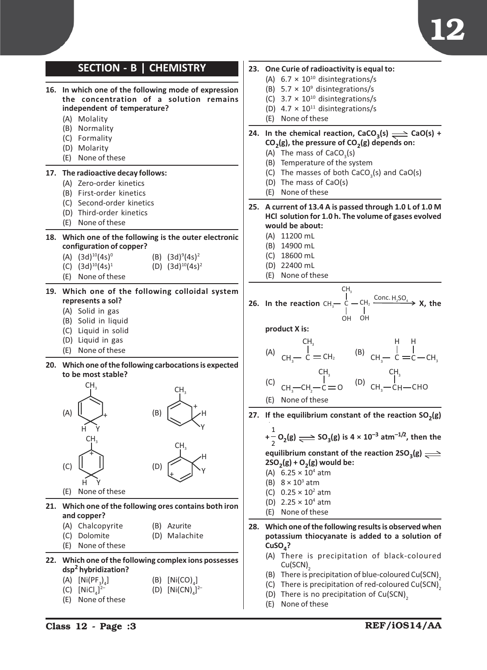

## SECTION - B | CHEMISTRY 16. In which one of the following mode of expression the concentration of a solution remains independent of temperature? (A) Molality (B) Normality (C) Formality (D) Molarity (E) None of these 17. The radioactive decay follows: (A) Zero-order kinetics (B) First-order kinetics (C) Second-order kinetics (D) Third-order kinetics (E) None of these 18. Which one of the following is the outer electronic configuration of copper?  $(A)$   $(3d)^{10}(4s)^{0}$ (B)  $(3d)^9(4s)^2$ (C)  $(3d)^{10}(4s)^1$  (D)  $(3d)^{10}(4s)^2$ (E) None of these 19. Which one of the following colloidal system represents a sol? (A) Solid in gas (B) Solid in liquid (C) Liquid in solid (D) Liquid in gas (E) None of these 20. Which one of the following carbocations is expected to be most stable? (A)  $CH<sub>3</sub>$ H Y + (B)  $CH<sub>3</sub>$ H Y +  $(C)$  $CH<sub>3</sub>$ H Y + (D)  $CH<sub>3</sub>$ H  $t \searrow$ <sup>\Y</sup> (E) None of these 21. Which one of the following ores contains both iron and copper? (A) Chalcopyrite (B) Azurite (C) Dolomite (D) Malachite (E) None of these 22. Which one of the following complex ions possesses dsp2 hybridization? (A)  $[Ni(PF<sub>3</sub>)<sub>4</sub>$  $[\text{Ni(CO)}_4]$  $(C)$  [NiCl<sub>4</sub>] 2- (D)  $[Ni(CN)<sub>4</sub>]$ <sup>2-</sup>

(E) None of these

## 23. One Curie of radioactivity is equal to:

- (A)  $6.7 \times 10^{10}$  disintegrations/s
- (B)  $5.7 \times 10^9$  disintegrations/s
- (C)  $3.7 \times 10^{10}$  disintegrations/s
- (D)  $4.7 \times 10^{11}$  disintegrations/s
- (E) None of these
- 24. In the chemical reaction, CaCO<sub>3</sub>(s)  $\implies$  CaO(s) +  $CO<sub>2</sub>(g)$ , the pressure of  $CO<sub>2</sub>(g)$  depends on:
	- (A) The mass of CaCO<sub>3</sub>(s)
	- (B) Temperature of the system
	- (C) The masses of both CaCO<sub>3</sub>(s) and CaO(s)
	- (D) The mass of CaO(s)
	- (E) None of these
- 25. A current of 13.4 A is passed through 1.0 L of 1.0 M HCl solution for 1.0 h. The volume of gases evolved would be about:
	- (A) 11200 mL
	- (B) 14900 mL
	- (C) 18600 mL
	- (D) 22400 mL
	- (E) None of these

26. In the reaction 
$$
CH_3
$$

\n
$$
CH_3
$$
\n
$$
CH_2
$$
\n
$$
CH_2
$$
\n
$$
CH_2
$$
\n
$$
CH_2
$$
\n
$$
CH_2
$$
\n
$$
CH_2
$$
\n
$$
CH_2
$$
\n
$$
CH_2
$$
\n
$$
CH_2
$$
\n
$$
CH_2
$$
\n
$$
CH_2
$$
\n
$$
CH_2
$$
\n
$$
CH_2
$$
\n
$$
CH_2
$$
\n
$$
CH_2
$$
\n
$$
CH_2
$$
\n
$$
CH_2
$$
\n
$$
CH_2
$$
\n
$$
CH_2
$$
\n
$$
CH_2
$$
\n
$$
CH_2
$$
\n
$$
CH_2
$$
\n
$$
CH_2
$$
\n
$$
CH_2
$$
\n
$$
CH_2
$$
\n
$$
CH_2
$$
\n
$$
CH_2
$$
\n
$$
CH_2
$$
\n
$$
CH_2
$$
\n
$$
CH_2
$$
\n
$$
CH_2
$$
\n
$$
CH_2
$$
\n
$$
CH_2
$$
\n
$$
CH_2
$$
\n
$$
CH_2
$$
\n
$$
CH_2
$$
\n
$$
CH_2
$$
\n
$$
CH_2
$$
\n
$$
CH_2
$$
\n
$$
CH_2
$$
\n
$$
CH_2
$$
\n
$$
CH_2
$$
\n
$$
CH_2
$$
\n
$$
CH_2
$$
\n
$$
CH_2
$$
\n
$$
CH_2
$$
\n
$$
CH_2
$$
\n
$$
CH_2
$$
\n
$$
CH_2
$$
\n
$$
CH_2
$$
\n
$$
CH_2
$$
\n
$$
CH_2
$$
\n
$$
CH_2
$$
\n
$$
CH_2
$$
\n
$$
CH_2
$$
\n
$$
CH_2
$$
\n<math display="</p>

product X is:

(A) 
$$
\begin{array}{ccc} & & \text{CH}_3 & & \text{H} & \text{H} \\ & | & & | & & | \\ & \text{CH}_3 - \text{C} = \text{CH}_2 & & \text{(B)} & \text{CH}_3 - \text{C} = \text{C} - \text{CH}_3 \\ & | & & \text{CH}_3 & \text{CH}_3 \\ & | & & | & | \\ & \text{(C)} & \text{CH}_3 - \text{CH}_2 - \text{C} = \text{O} & & \text{(D)} & \text{CH}_3 - \text{CH} - \text{CHO} \end{array}
$$

(E) None of these

27. If the equilibrium constant of the reaction  $SO_2(g)$ 

+ 1  $\frac{1}{2}$  O<sub>2</sub>(g)  $\Longrightarrow$  SO<sub>3</sub>(g) is 4 × 10<sup>-3</sup> atm<sup>-1/2</sup>, then the

equilibrium constant of the reaction  $2SO_3(g) \rightleftharpoons$  $2SO_2(g) + O_2(g)$  would be:

- (A)  $6.25 \times 10^4$  atm
- (B)  $8 \times 10^3$  atm
- (C)  $0.25 \times 10^2$  atm
- (D)  $2.25 \times 10^4$  atm
- (E) None of these
- 28. Which one of the following results is observed when potassium thiocyanate is added to a solution of  $CuSO<sub>A</sub>$ ?
	- (A) There is precipitation of black-coloured  $Cu(SCN)$ <sub>2</sub>
	- (B) There is precipitation of blue-coloured Cu(SCN)<sub>2</sub>
	- (C) There is precipitation of red-coloured Cu(SCN)<sub>2</sub>
	- (D) There is no precipitation of  $Cu(SCN)$ <sub>2</sub>
	- (E) None of these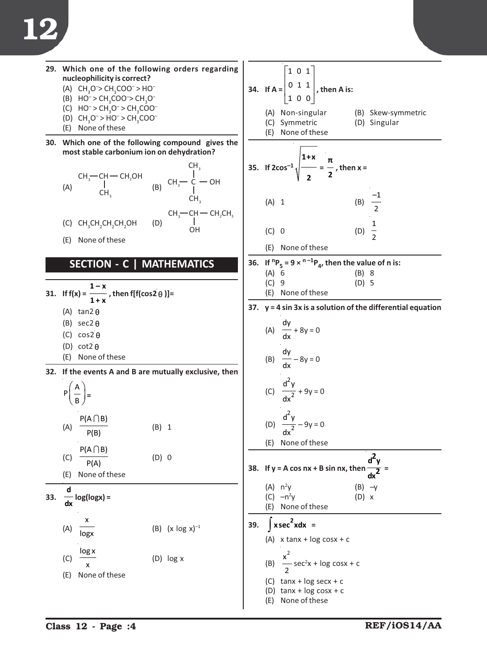29. Which one of the following orders regarding  
\n1. (a) 
$$
CH_1O \sim CH_2OO \sim H_0
$$
  
\n (b)  $HO_1 \sim CH_2O \sim CH_2O$   
\n (c)  $CH_1O \rightarrow CH_2O \sim CH_2O$   
\n (d)  $HO_1O \sim CH_2O$   
\n (e)  $HO_1O \sim CH_2O$   
\n (f)  $HO_1O \sim CH_2O$   
\n (g)  $HO_1O \sim CH_2O$   
\n (h)  $HO_1O \sim H_1O$   
\n (i)  $HO_1O \sim H_1O$   
\n (j)  $HO_1O \sim H_1O$   
\n (k)  $CH_1CH_1CH_1OH$   
\n (l)  $CH_1CH_1CH_1OH$   
\n (m)  $CH_1 \sim CH_1CH_1$   
\n (m)  $CH_1 \sim CH_1CH_1$   
\n (n)  $CH_1 \sim CH_1CH_1CH_1$   
\n (n)  $CH_1 \sim CH_1CH_1CH_1$   
\n (n)  $CH_1 \sim CH_1CH_1CH_1$   
\n (n)  $CH_1 \sim CH_1CH_1CH_1$   
\n (n)  $CH_1 \sim CH_1CH_1CH_1$   
\n (n)  $CH_1 \sim CH_1CH_1CH_1$   
\n (n)  $CH_1 \sim CH_1CH_1CH_1$   
\n (n)  $CH_1 \sim CH_1CH_1CH_1$   
\n (n)  $CH_1 \sim CH_1CH_1CH_1$   
\n (n)  $CH_1 \sim CH_1CH_1$   
\n (n)  $CH_1 \sim CH_1CH_1$   
\n (n)  $CH_1 \sim CH_1CH_1$   
\n (n)  $CH_1 \sim CH_1CH_1$   
\n (n)  $CH_1 \sim CH_1CH_1$   
\n (n)  $CH_1 \sim CH_1CH_1$   
\n (n)  $CH_1 \sim CH_1CH_1$   
\